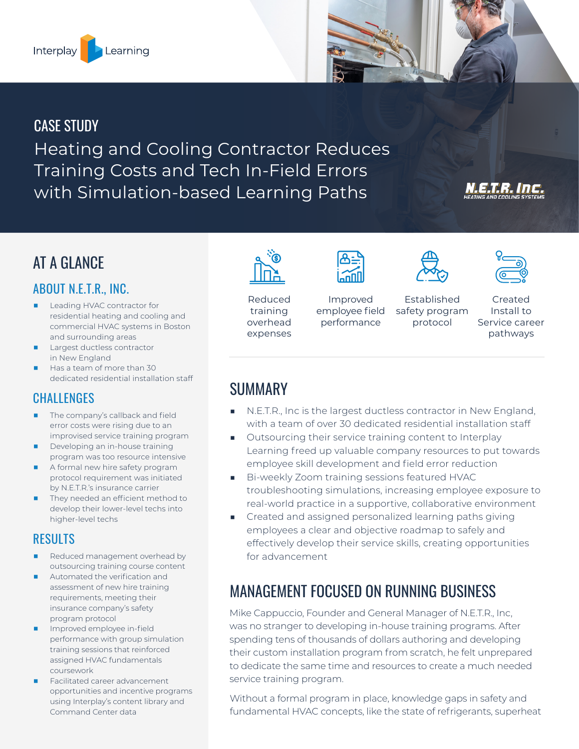

## CASE STUDY

Heating and Cooling Contractor Reduces Training Costs and Tech In-Field Errors with Simulation-based Learning Paths

# AT A GLANCE

## ABOUT N.E.T.R., INC.

- Leading HVAC contractor for residential heating and cooling and commercial HVAC systems in Boston and surrounding areas
- Largest ductless contractor in New England
- Has a team of more than 30 dedicated residential installation staff

### **CHALLENGES**

- The company's callback and field error costs were rising due to an improvised service training program
- Developing an in-house training program was too resource intensive
- A formal new hire safety program protocol requirement was initiated by N.E.T.R.'s insurance carrier
- They needed an efficient method to develop their lower-level techs into higher-level techs

### RESULTS

- Reduced management overhead by outsourcing training course content
- Automated the verification and assessment of new hire training requirements, meeting their insurance company's safety program protocol
- Improved employee in-field performance with group simulation training sessions that reinforced assigned HVAC fundamentals coursework
- Facilitated career advancement opportunities and incentive programs using Interplay's content library and Command Center data



Reduced training overhead expenses



Improved employee field



performance

Established safety program protocol



 $T^{-1}$ 

#### Created Install to Service career pathways

## **SUMMARY**

- N.E.T.R., Inc is the largest ductless contractor in New England, with a team of over 30 dedicated residential installation staff
- Outsourcing their service training content to Interplay Learning freed up valuable company resources to put towards employee skill development and field error reduction
- Bi-weekly Zoom training sessions featured HVAC troubleshooting simulations, increasing employee exposure to real-world practice in a supportive, collaborative environment
- Created and assigned personalized learning paths giving employees a clear and objective roadmap to safely and effectively develop their service skills, creating opportunities for advancement

# MANAGEMENT FOCUSED ON RUNNING BUSINESS

Mike Cappuccio, Founder and General Manager of N.E.T.R., Inc, was no stranger to developing in-house training programs. After spending tens of thousands of dollars authoring and developing their custom installation program from scratch, he felt unprepared to dedicate the same time and resources to create a much needed service training program.

Without a formal program in place, knowledge gaps in safety and fundamental HVAC concepts, like the state of refrigerants, superheat